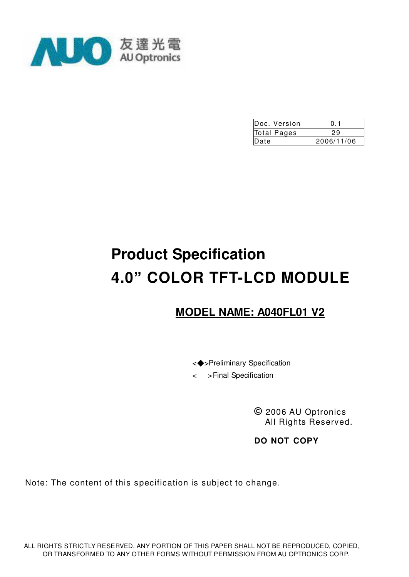

| Doc. Version | 0.1        |
|--------------|------------|
| Total Pages  | 29         |
| Date         | 2006/11/06 |

# **Product Specification 4.0" COLOR TFT-LCD MODULE**

# **MODEL NAME: A040FL01 V2**

<◆>Preliminary Specification

< >Final Specification

**©** 2006 AU Optronics All Rights Reserved.

**DO NOT COPY**

Note: The content of this specification is subject to change.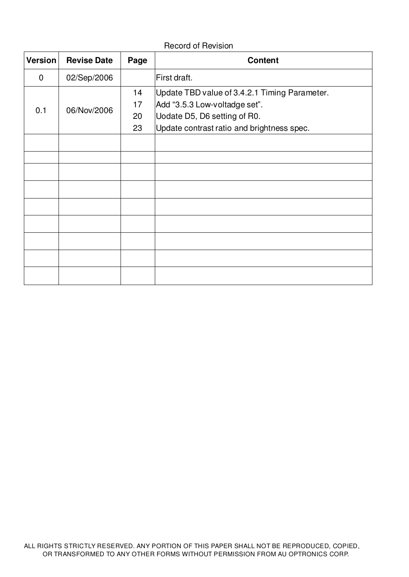#### Record of Revision

| <b>Version</b> | <b>Revise Date</b> | Page | <b>Content</b>                                |
|----------------|--------------------|------|-----------------------------------------------|
| $\mathbf 0$    | 02/Sep/2006        |      | First draft.                                  |
|                |                    | 14   | Update TBD value of 3.4.2.1 Timing Parameter. |
| 0.1            | 06/Nov/2006        | 17   | Add "3.5.3 Low-voltadge set".                 |
|                |                    | 20   | Uodate D5, D6 setting of R0.                  |
|                |                    | 23   | Update contrast ratio and brightness spec.    |
|                |                    |      |                                               |
|                |                    |      |                                               |
|                |                    |      |                                               |
|                |                    |      |                                               |
|                |                    |      |                                               |
|                |                    |      |                                               |
|                |                    |      |                                               |
|                |                    |      |                                               |
|                |                    |      |                                               |
|                |                    |      |                                               |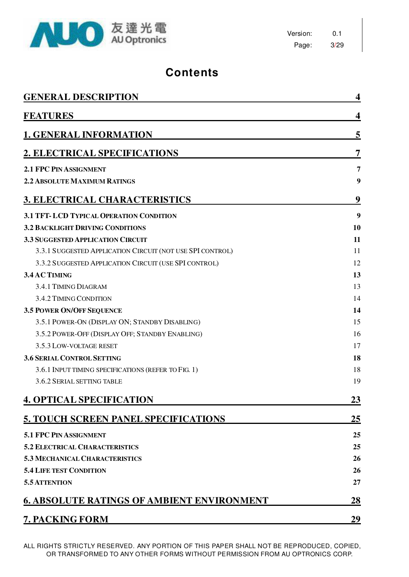

Version: 0.1 Page: 3/29

# **Contents**

| <b>GENERAL DESCRIPTION</b>                                | 4  |
|-----------------------------------------------------------|----|
| <b>FEATURES</b>                                           | 4  |
| <b>1. GENERAL INFORMATION</b>                             | 5  |
| 2. ELECTRICAL SPECIFICATIONS                              | 7  |
| <b>2.1 FPC PIN ASSIGNMENT</b>                             | 7  |
| <b>2.2 ABSOLUTE MAXIMUM RATINGS</b>                       | 9  |
| <u><b>3. ELECTRICAL CHARACTERISTICS</b></u>               | 9  |
| 3.1 TFT-LCD TYPICAL OPERATION CONDITION                   | 9  |
| <b>3.2 BACKLIGHT DRIVING CONDITIONS</b>                   | 10 |
| <b>3.3 SUGGESTED APPLICATION CIRCUIT</b>                  | 11 |
| 3.3.1 SUGGESTED APPLICATION CIRCUIT (NOT USE SPI CONTROL) | 11 |
| 3.3.2 SUGGESTED APPLICATION CIRCUIT (USE SPI CONTROL)     | 12 |
| 3.4 AC TIMING                                             | 13 |
| 3.4.1 TIMING DIAGRAM                                      | 13 |
| 3.4.2 TIMING CONDITION                                    | 14 |
| <b>3.5 POWER ON/OFF SEQUENCE</b>                          | 14 |
| 3.5.1 POWER-ON (DISPLAY ON; STANDBY DISABLING)            | 15 |
| 3.5.2 POWER-OFF (DISPLAY OFF; STANDBY ENABLING)           | 16 |
| 3.5.3 LOW-VOLTAGE RESET                                   | 17 |
| <b>3.6 SERIAL CONTROL SETTING</b>                         | 18 |
| 3.6.1 INPUT TIMING SPECIFICATIONS (REFER TO FIG. 1)       | 18 |
| 3.6.2 SERIAL SETTING TABLE                                | 19 |
| <b>4. OPTICAL SPECIFICATION</b>                           | 23 |
| 5. TOUCH SCREEN PANEL SPECIFICATIONS                      | 25 |
| 5.1 FPC PIN ASSIGNMENT                                    | 25 |
| <b>5.2 ELECTRICAL CHARACTERISTICS</b>                     | 25 |
| <b>5.3 MECHANICAL CHARACTERISTICS</b>                     | 26 |
| <b>5.4 LIFE TEST CONDITION</b>                            | 26 |
| 5.5 ATTENTION                                             | 27 |
| <b>6. ABSOLUTE RATINGS OF AMBIENT ENVIRONMENT</b>         | 28 |
| 7. PACKING FORM                                           | 29 |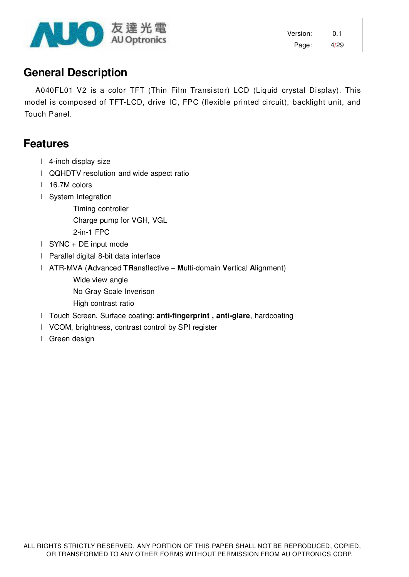

## **General Description**

A040FL01 V2 is a color TFT (Thin Film Transistor) LCD (Liquid crystal Display). This model is composed of TFT-LCD, drive IC, FPC (flexible printed circuit), backlight unit, and Touch Panel.

### **Features**

- l 4-inch display size
- l QQHDTV resolution and wide aspect ratio
- l 16.7M colors
- l System Integration
	- Timing controller

Charge pump for VGH, VGL

2-in-1 FPC

- l SYNC + DE input mode
- l Parallel digital 8-bit data interface
- l ATR-MVA (**A**dvanced **TR**ansflective **M**ulti-domain **V**ertical **A**lignment)
	- Wide view angle

No Gray Scale Inverison

- High contrast ratio
- l Touch Screen. Surface coating: **anti-fingerprint , anti-glare**, hardcoating
- l VCOM, brightness, contrast control by SPI register
- l Green design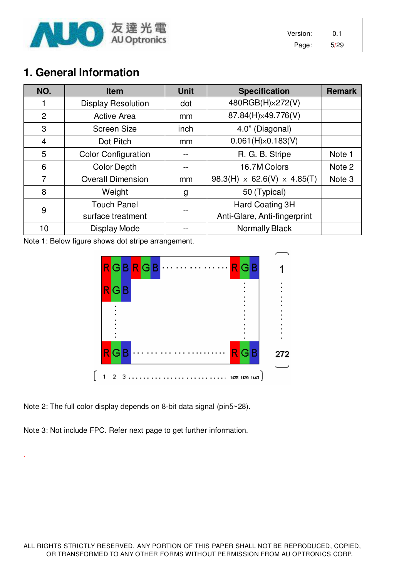

Version: 0.1 Page: 5/29

# **1. General Information**

| NO.            | <b>Item</b>                | <b>Unit</b> | <b>Specification</b>                    | <b>Remark</b> |
|----------------|----------------------------|-------------|-----------------------------------------|---------------|
|                | <b>Display Resolution</b>  | dot         | 480RGB(H)x272(V)                        |               |
| $\overline{2}$ | <b>Active Area</b>         | mm          | 87.84(H)×49.776(V)                      |               |
| 3              | <b>Screen Size</b>         | inch        | 4.0" (Diagonal)                         |               |
| $\overline{4}$ | Dot Pitch                  | mm          | 0.061(H)x0.183(V)                       |               |
| 5              | <b>Color Configuration</b> |             | R. G. B. Stripe                         | Note 1        |
| 6              | <b>Color Depth</b>         |             | 16.7M Colors                            | Note 2        |
| 7              | <b>Overall Dimension</b>   | mm          | $98.3(H) \times 62.6(V) \times 4.85(T)$ | Note 3        |
| 8              | Weight                     | g           | 50 (Typical)                            |               |
| 9              | <b>Touch Panel</b>         |             | Hard Coating 3H                         |               |
|                | surface treatment          |             | Anti-Glare, Anti-fingerprint            |               |
| 10             | Display Mode               |             | <b>Normally Black</b>                   |               |

Note 1: Below figure shows dot stripe arrangement.



Note 2: The full color display depends on 8-bit data signal (pin5~28).

Note 3: Not include FPC. Refer next page to get further information.

.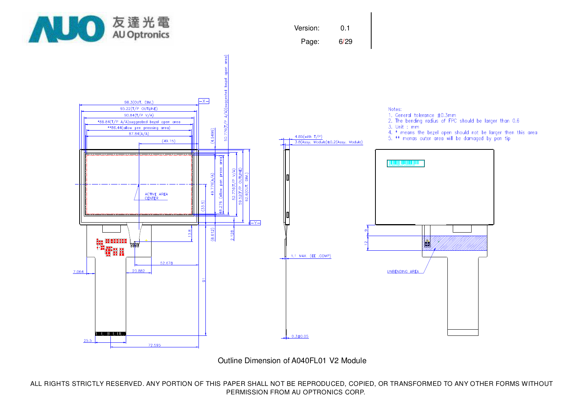

Outline Dimension of A040FL01 V2 Module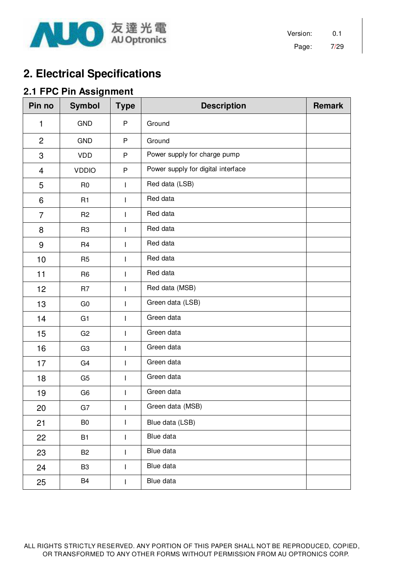

Version: 0.1 Page: 7/29

# **2. Electrical Specifications**

### **2.1 FPC Pin Assignment**

| Pin no                  | <b>Symbol</b>  | <b>Type</b>                                                                                                                                                                                                                                                                                                                                                                      | <b>Description</b>                 | <b>Remark</b> |
|-------------------------|----------------|----------------------------------------------------------------------------------------------------------------------------------------------------------------------------------------------------------------------------------------------------------------------------------------------------------------------------------------------------------------------------------|------------------------------------|---------------|
| 1                       | <b>GND</b>     | P                                                                                                                                                                                                                                                                                                                                                                                | Ground                             |               |
| $\overline{2}$          | <b>GND</b>     | P                                                                                                                                                                                                                                                                                                                                                                                | Ground                             |               |
| 3                       | <b>VDD</b>     | P                                                                                                                                                                                                                                                                                                                                                                                | Power supply for charge pump       |               |
| $\overline{\mathbf{4}}$ | <b>VDDIO</b>   | P                                                                                                                                                                                                                                                                                                                                                                                | Power supply for digital interface |               |
| 5                       | R <sub>0</sub> | I                                                                                                                                                                                                                                                                                                                                                                                | Red data (LSB)                     |               |
| 6                       | R1             | I                                                                                                                                                                                                                                                                                                                                                                                | Red data                           |               |
| 7                       | R <sub>2</sub> | I                                                                                                                                                                                                                                                                                                                                                                                | Red data                           |               |
| 8                       | R <sub>3</sub> | $\mathsf{I}$                                                                                                                                                                                                                                                                                                                                                                     | Red data                           |               |
| $9$                     | R <sub>4</sub> | I                                                                                                                                                                                                                                                                                                                                                                                | Red data                           |               |
| 10                      | R <sub>5</sub> | ı                                                                                                                                                                                                                                                                                                                                                                                | Red data                           |               |
| 11                      | R <sub>6</sub> | $\overline{1}$                                                                                                                                                                                                                                                                                                                                                                   | Red data                           |               |
| 12                      | R <sub>7</sub> | $\overline{1}$                                                                                                                                                                                                                                                                                                                                                                   | Red data (MSB)                     |               |
| 13                      | G <sub>0</sub> | $\begin{array}{c} \hline \end{array}$                                                                                                                                                                                                                                                                                                                                            | Green data (LSB)                   |               |
| 14                      | G1             | I                                                                                                                                                                                                                                                                                                                                                                                | Green data                         |               |
| 15                      | G2             | ı                                                                                                                                                                                                                                                                                                                                                                                | Green data                         |               |
| 16                      | G <sub>3</sub> | I                                                                                                                                                                                                                                                                                                                                                                                | Green data                         |               |
| 17                      | G <sub>4</sub> | I                                                                                                                                                                                                                                                                                                                                                                                | Green data                         |               |
| 18                      | G <sub>5</sub> | $\begin{array}{c} \hline \end{array}$                                                                                                                                                                                                                                                                                                                                            | Green data                         |               |
| 19                      | G <sub>6</sub> | I                                                                                                                                                                                                                                                                                                                                                                                | Green data                         |               |
| 20                      | G7             | $\mathsf{I}$                                                                                                                                                                                                                                                                                                                                                                     | Green data (MSB)                   |               |
| 21                      | B <sub>0</sub> | $\begin{array}{c} \rule{0pt}{2.5ex} \rule{0pt}{2.5ex} \rule{0pt}{2.5ex} \rule{0pt}{2.5ex} \rule{0pt}{2.5ex} \rule{0pt}{2.5ex} \rule{0pt}{2.5ex} \rule{0pt}{2.5ex} \rule{0pt}{2.5ex} \rule{0pt}{2.5ex} \rule{0pt}{2.5ex} \rule{0pt}{2.5ex} \rule{0pt}{2.5ex} \rule{0pt}{2.5ex} \rule{0pt}{2.5ex} \rule{0pt}{2.5ex} \rule{0pt}{2.5ex} \rule{0pt}{2.5ex} \rule{0pt}{2.5ex} \rule{0$ | Blue data (LSB)                    |               |
| 22                      | <b>B1</b>      | I                                                                                                                                                                                                                                                                                                                                                                                | Blue data                          |               |
| 23                      | B <sub>2</sub> | I                                                                                                                                                                                                                                                                                                                                                                                | Blue data                          |               |
| 24                      | B <sub>3</sub> | $\begin{array}{c} \rule{0pt}{2.5ex} \rule{0pt}{2.5ex} \rule{0pt}{2.5ex} \rule{0pt}{2.5ex} \rule{0pt}{2.5ex} \rule{0pt}{2.5ex} \rule{0pt}{2.5ex} \rule{0pt}{2.5ex} \rule{0pt}{2.5ex} \rule{0pt}{2.5ex} \rule{0pt}{2.5ex} \rule{0pt}{2.5ex} \rule{0pt}{2.5ex} \rule{0pt}{2.5ex} \rule{0pt}{2.5ex} \rule{0pt}{2.5ex} \rule{0pt}{2.5ex} \rule{0pt}{2.5ex} \rule{0pt}{2.5ex} \rule{0$ | Blue data                          |               |
| 25                      | B <sub>4</sub> | $\begin{array}{c} \rule{0pt}{2.5ex} \rule{0pt}{2.5ex} \rule{0pt}{2.5ex} \rule{0pt}{2.5ex} \rule{0pt}{2.5ex} \rule{0pt}{2.5ex} \rule{0pt}{2.5ex} \rule{0pt}{2.5ex} \rule{0pt}{2.5ex} \rule{0pt}{2.5ex} \rule{0pt}{2.5ex} \rule{0pt}{2.5ex} \rule{0pt}{2.5ex} \rule{0pt}{2.5ex} \rule{0pt}{2.5ex} \rule{0pt}{2.5ex} \rule{0pt}{2.5ex} \rule{0pt}{2.5ex} \rule{0pt}{2.5ex} \rule{0$ | Blue data                          |               |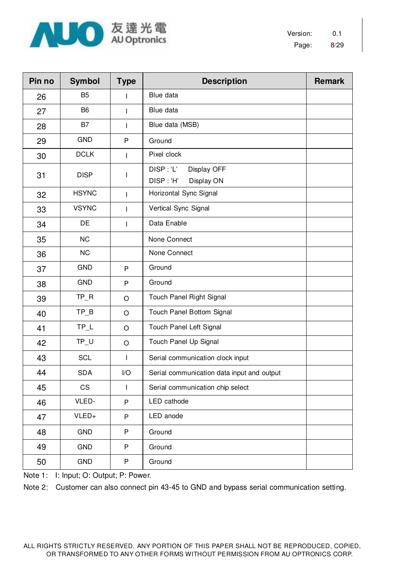

| Pin no | <b>Symbol</b>  | <b>Type</b>  | <b>Description</b>                                 | <b>Remark</b> |  |  |
|--------|----------------|--------------|----------------------------------------------------|---------------|--|--|
| 26     | B <sub>5</sub> | L            | Blue data                                          |               |  |  |
| 27     | B <sub>6</sub> | L            | Blue data                                          |               |  |  |
| 28     | B7             | T            | Blue data (MSB)                                    |               |  |  |
| 29     | <b>GND</b>     | P            | Ground                                             |               |  |  |
| 30     | <b>DCLK</b>    | T            | Pixel clock                                        |               |  |  |
| 31     | <b>DISP</b>    | T            | DISP: 'L'<br>Display OFF<br>DISP:'H'<br>Display ON |               |  |  |
| 32     | <b>HSYNC</b>   | $\mathbf{I}$ | Horizontal Sync Signal                             |               |  |  |
| 33     | <b>VSYNC</b>   |              | Vertical Sync Signal                               |               |  |  |
| 34     | DE             | T            | Data Enable                                        |               |  |  |
| 35     | <b>NC</b>      |              | None Connect                                       |               |  |  |
| 36     | <b>NC</b>      |              | None Connect                                       |               |  |  |
| 37     | <b>GND</b>     | P            | Ground                                             |               |  |  |
| 38     | <b>GND</b>     | P            | Ground                                             |               |  |  |
| 39     | $TP_R$         | $\circ$      | Touch Panel Right Signal                           |               |  |  |
| 40     | $TP_B$         | $\circ$      | Touch Panel Bottom Signal                          |               |  |  |
| 41     | $TP_L$         | $\circ$      | Touch Panel Left Signal                            |               |  |  |
| 42     | $TP_U$         | $\bigcirc$   | Touch Panel Up Signal                              |               |  |  |
| 43     | <b>SCL</b>     | $\mathbf{I}$ | Serial communication clock input                   |               |  |  |
| 44     | <b>SDA</b>     | I/O          | Serial communication data input and output         |               |  |  |
| 45     | CS             | $\mathsf I$  | Serial communication chip select                   |               |  |  |
| 46     | VLED-          | P            | LED cathode                                        |               |  |  |
| 47     | VLED+          | P            | LED anode                                          |               |  |  |
| 48     | <b>GND</b>     | P            | Ground                                             |               |  |  |
| 49     | GND            | P            | Ground                                             |               |  |  |
| 50     | GND            | P            | Ground                                             |               |  |  |

Note 1: I: Input; O: Output; P: Power.

Note 2: Customer can also connect pin 43-45 to GND and bypass serial communication setting.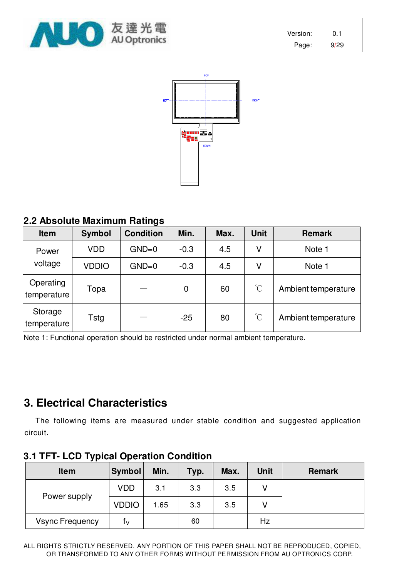



### **2.2 Absolute Maximum Ratings**

| <b>Item</b>              | <b>Symbol</b> | <b>Condition</b> | Min.   | Max. | <b>Unit</b>          | <b>Remark</b>       |
|--------------------------|---------------|------------------|--------|------|----------------------|---------------------|
| Power                    | <b>VDD</b>    | $GND=0$          | $-0.3$ | 4.5  | ٧                    | Note 1              |
| voltage                  | <b>VDDIO</b>  | $GND=0$          | $-0.3$ | 4.5  | ٧                    | Note 1              |
| Operating<br>temperature | Topa          |                  | 0      | 60   | $\mathrm{C}$         | Ambient temperature |
| Storage<br>temperature   | Tstg          |                  | $-25$  | 80   | $\mathrm{C}^{\circ}$ | Ambient temperature |

Note 1: Functional operation should be restricted under normal ambient temperature.

# **3. Electrical Characteristics**

The following items are measured under stable condition and suggested application circuit.

| <b>Item</b>            | Symbol       | Min. | Typ. | Max. | <b>Unit</b> | <b>Remark</b> |
|------------------------|--------------|------|------|------|-------------|---------------|
|                        | <b>VDD</b>   | 3.1  | 3.3  | 3.5  |             |               |
| Power supply           | <b>VDDIO</b> | 1.65 | 3.3  | 3.5  |             |               |
| <b>Vsync Frequency</b> | tν           |      | 60   |      | Hz          |               |

#### **3.1 TFT- LCD Typical Operation Condition**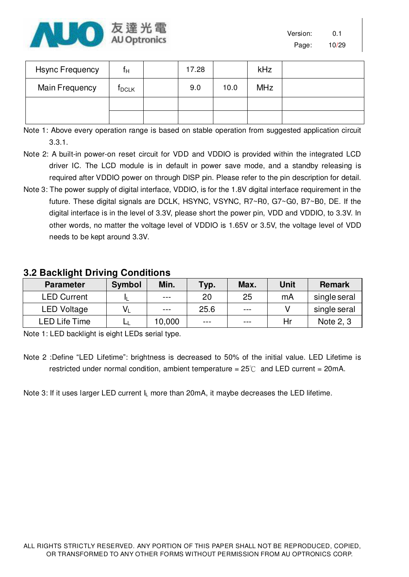

| Version: | 0.1   |
|----------|-------|
| Page:    | 10/29 |

| <b>Hsync Frequency</b> | f <sub>Н</sub> | 17.28 |      | <b>kHz</b> |  |
|------------------------|----------------|-------|------|------------|--|
| Main Frequency         | <b>T</b> DCLK  | 9.0   | 10.0 | <b>MHz</b> |  |
|                        |                |       |      |            |  |
|                        |                |       |      |            |  |

Note 1: Above every operation range is based on stable operation from suggested application circuit 3.3.1.

- Note 2: A built-in power-on reset circuit for VDD and VDDIO is provided within the integrated LCD driver IC. The LCD module is in default in power save mode, and a standby releasing is required after VDDIO power on through DISP pin. Please refer to the pin description for detail.
- Note 3: The power supply of digital interface, VDDIO, is for the 1.8V digital interface requirement in the future. These digital signals are DCLK, HSYNC, VSYNC, R7~R0, G7~G0, B7~B0, DE. If the digital interface is in the level of 3.3V, please short the power pin, VDD and VDDIO, to 3.3V. In other words, no matter the voltage level of VDDIO is 1.65V or 3.5V, the voltage level of VDD needs to be kept around 3.3V.

### **Parameter Symbol Min. Typ. Max. Unit Remark**  LED Current IL --- 20 25 mA single seral LED Voltage  $V_L$   $\cdots$   $25.6$   $\cdots$   $V$  isingle seral LED Life Time LL 10,000 --- --- Hr Note 2, 3

### **3.2 Backlight Driving Conditions**

Note 1: LED backlight is eight LEDs serial type.

Note 2 :Define "LED Lifetime": brightness is decreased to 50% of the initial value. LED Lifetime is restricted under normal condition, ambient temperature =  $25^{\circ}$  and LED current = 20mA.

Note 3: If it uses larger LED current I<sub>L</sub> more than 20mA, it maybe decreases the LED lifetime.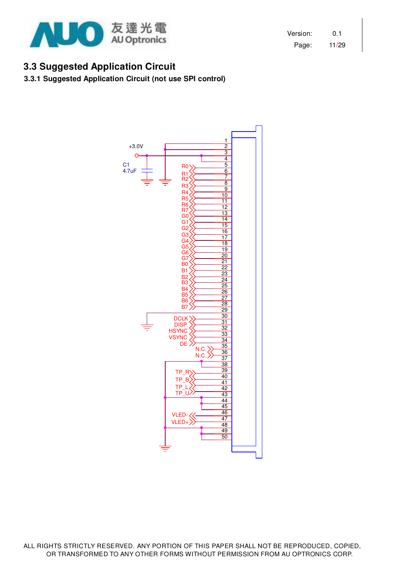

Version: 0.1 Page: 11/29

### **3.3 Suggested Application Circuit**

#### **3.3.1 Suggested Application Circuit (not use SPI control)**

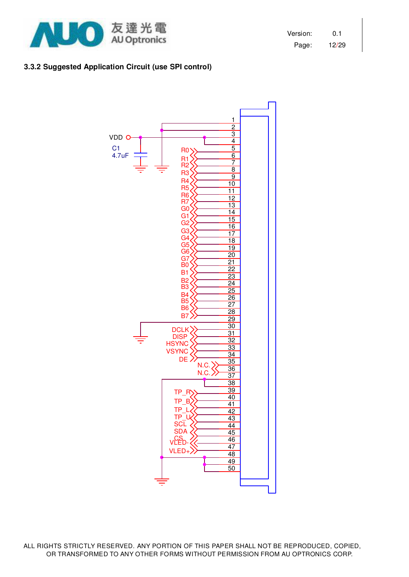

Version: 0.1 Page: 12/29

#### **3.3.2 Suggested Application Circuit (use SPI control)**

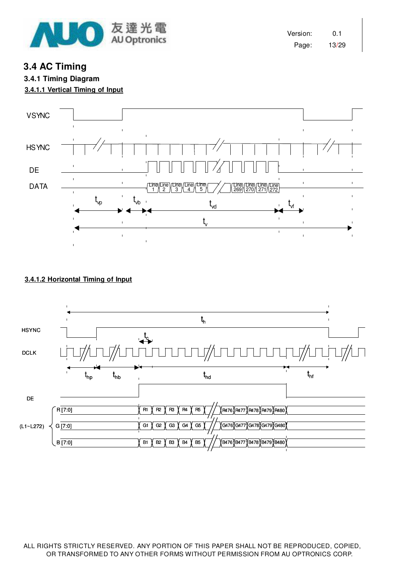

Version: 0.1 Page: 13/29

**3.4 AC Timing** 

# **3.4.1 Timing Diagram**

**3.4.1.1 Vertical Timing of Input** 



#### **3.4.1.2 Horizontal Timing of Input**

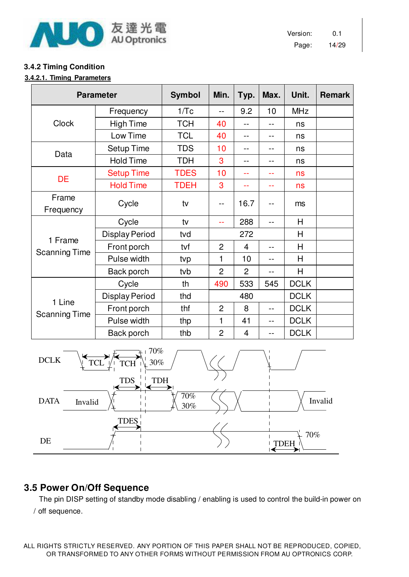

Version: 0.1 Page: 14/29

#### **3.4.2 Timing Condition**

#### **3.4.2.1. Timing Parameters**

| <b>Parameter</b>     | <b>Symbol</b>         | Min.        | Typ.           | Max.           | Unit. | <b>Remark</b> |  |
|----------------------|-----------------------|-------------|----------------|----------------|-------|---------------|--|
|                      | Frequency             | 1/Tc        | --             | 9.2            | 10    | <b>MHz</b>    |  |
| <b>Clock</b>         | <b>High Time</b>      | <b>TCH</b>  | 40             |                |       | ns            |  |
|                      | Low Time              | <b>TCL</b>  | 40             |                | $ -$  | ns            |  |
| Data                 | <b>Setup Time</b>     | <b>TDS</b>  | 10             |                |       | ns            |  |
|                      | <b>Hold Time</b>      | <b>TDH</b>  | 3              |                | $-$   | ns            |  |
| <b>DE</b>            | <b>Setup Time</b>     | <b>TDES</b> | 10             |                | $-$   | ns            |  |
|                      | <b>Hold Time</b>      | <b>TDEH</b> | 3              |                |       | ns            |  |
| Frame<br>Frequency   | Cycle                 | tv          | --             | 16.7           |       | ms            |  |
|                      | Cycle                 | tv          | --             | 288            | $-$   | H             |  |
|                      | <b>Display Period</b> | tvd         |                | 272            |       | H             |  |
| 1 Frame              | Front porch           | tvf         | $\overline{2}$ | $\overline{4}$ | $-$   | H             |  |
| <b>Scanning Time</b> | Pulse width           | tvp         | 1              | 10             | $-$   | H             |  |
|                      | Back porch            | tvb         | $\overline{2}$ | $\overline{2}$ | $- -$ | H             |  |
|                      | Cycle                 | th          | 490            | 533            | 545   | <b>DCLK</b>   |  |
| 1 Line               | <b>Display Period</b> | thd         |                | 480            |       | <b>DCLK</b>   |  |
| <b>Scanning Time</b> | Front porch           | thf         | $\overline{2}$ | 8              | $-$   | <b>DCLK</b>   |  |
|                      | Pulse width           | thp         | 1              | 41             | $-$   | <b>DCLK</b>   |  |
|                      | Back porch            | thb         | $\overline{2}$ | 4              | $-$   | <b>DCLK</b>   |  |



### **3.5 Power On/Off Sequence**

The pin DISP setting of standby mode disabling / enabling is used to control the build-in power on / off sequence.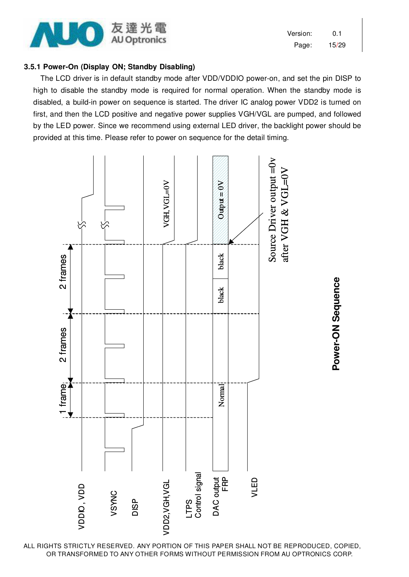

Version: 0.1 Page: 15/29

#### **3.5.1 Power-On (Display ON; Standby Disabling)**

The LCD driver is in default standby mode after VDD/VDDIO power-on, and set the pin DISP to high to disable the standby mode is required for normal operation. When the standby mode is disabled, a build-in power on sequence is started. The driver IC analog power VDD2 is turned on first, and then the LCD positive and negative power supplies VGH/VGL are pumped, and followed by the LED power. Since we recommend using external LED driver, the backlight power should be provided at this time. Please refer to power on sequence for the detail timing.



**Power-ON Sequence**  Power-ON Sequence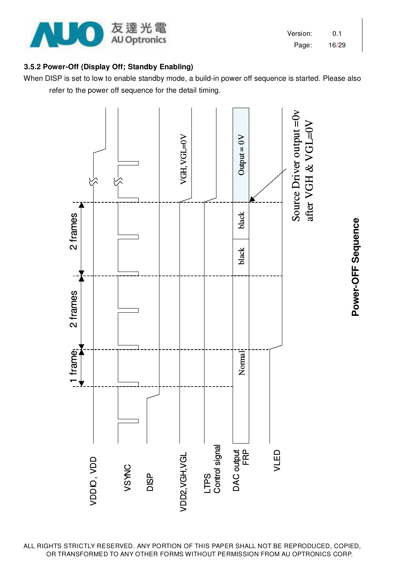

| Version: | 0.1   |
|----------|-------|
| Page:    | 16/29 |

#### **3.5.2 Power-Off (Display Off; Standby Enabling)**

When DISP is set to low to enable standby mode, a build-in power off sequence is started. Please also refer to the power off sequence for the detail timing.



**Power-OFF Sequence**  Power-OFF Sequence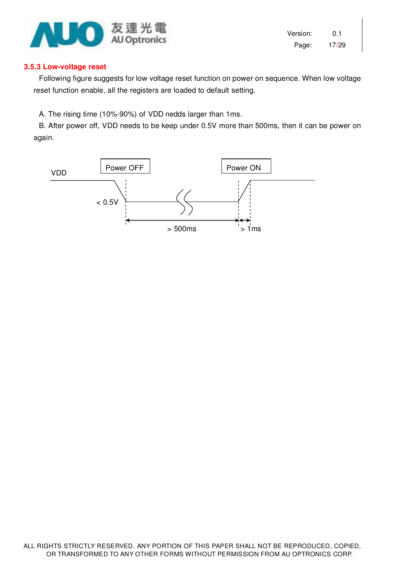

Version: 0.1 Page: 17/29

#### **3.5.3 Low-voltage reset**

Following figure suggests for low voltage reset function on power on sequence. When low voltage reset function enable, all the registers are loaded to default setting.

A. The rising time (10%-90%) of VDD nedds larger than 1ms.

B. After power off, VDD needs to be keep under 0.5V more than 500ms, then it can be power on again.

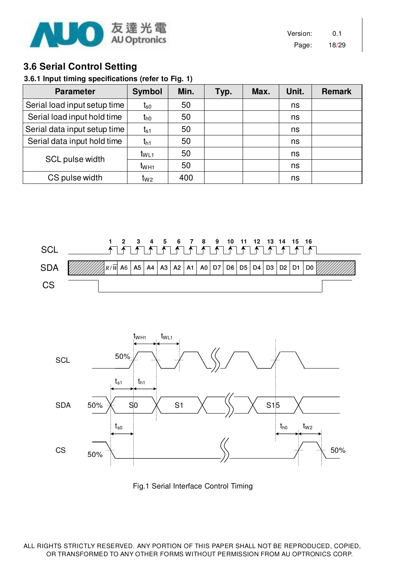

Version: 0.1 Page: 18/29

### **3.6 Serial Control Setting**

#### **3.6.1 Input timing specifications (refer to Fig. 1)**

| <b>Parameter</b>             | <b>Symbol</b>    | Min. | Typ. | Max. | Unit. | <b>Remark</b> |
|------------------------------|------------------|------|------|------|-------|---------------|
| Serial load input setup time | t <sub>s0</sub>  | 50   |      |      | ns    |               |
| Serial load input hold time  | $t_{h0}$         | 50   |      |      | ns    |               |
| Serial data input setup time | $t_{s1}$         | 50   |      |      | ns    |               |
| Serial data input hold time  | t <sub>h1</sub>  | 50   |      |      | ns    |               |
| SCL pulse width              | $t_{WL1}$        | 50   |      |      | ns    |               |
|                              | t <sub>WH1</sub> | 50   |      |      | ns    |               |
| CS pulse width               | t <sub>W2</sub>  | 400  |      |      | ns    |               |





Fig.1 Serial Interface Control Timing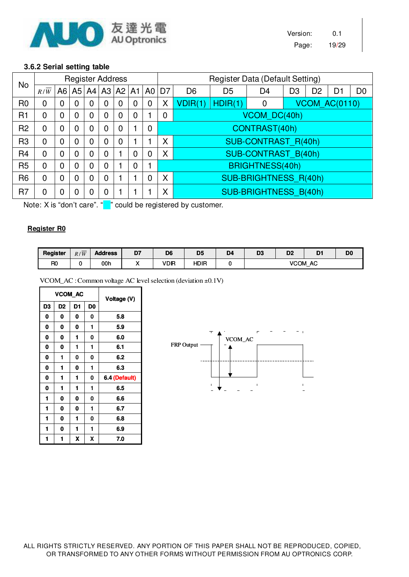

#### **3.6.2 Serial setting table**

| No             |                |              |                |                | <b>Register Address</b> |                |                |                                  |                |                            |                | Register Data (Default Setting) |    |                |                      |                |
|----------------|----------------|--------------|----------------|----------------|-------------------------|----------------|----------------|----------------------------------|----------------|----------------------------|----------------|---------------------------------|----|----------------|----------------------|----------------|
|                | R/W            |              |                |                |                         |                |                | A6   A5   A4   A3   A2   A1   A0 | D <sub>7</sub> | D <sub>6</sub>             | D <sub>5</sub> | D <sub>4</sub>                  | D3 | D <sub>2</sub> | D <sub>1</sub>       | D <sub>0</sub> |
| R <sub>0</sub> | $\overline{0}$ | $\mathbf 0$  | 0              | $\mathbf 0$    | 0                       | $\mathbf 0$    | 0              | $\mathbf 0$                      | X              | VDIR(1)                    | HDIR(1)        | 0                               |    |                | <b>VCOM AC(0110)</b> |                |
| R1             | $\overline{0}$ | $\mathbf 0$  | 0              | $\mathbf 0$    | 0                       | $\overline{0}$ | 0              |                                  | $\mathbf 0$    | VCOM DC(40h)               |                |                                 |    |                |                      |                |
| R <sub>2</sub> | $\overline{0}$ | $\mathbf 0$  | $\overline{0}$ | $\overline{0}$ | 0                       | $\overline{0}$ |                | $\overline{0}$                   |                | CONTRAST(40h)              |                |                                 |    |                |                      |                |
| R <sub>3</sub> | $\mathbf 0$    | $\mathbf 0$  | $\overline{0}$ | $\mathbf 0$    | 0                       | $\overline{0}$ |                |                                  | X              | <b>SUB-CONTRAST R(40h)</b> |                |                                 |    |                |                      |                |
| R <sub>4</sub> | $\mathbf 0$    | $\mathbf 0$  | $\mathbf 0$    | $\overline{0}$ | 0                       | 1              | $\overline{0}$ | $\overline{0}$                   | X              |                            |                | <b>SUB-CONTRAST B(40h)</b>      |    |                |                      |                |
| R <sub>5</sub> | $\mathbf 0$    | $\mathbf{0}$ | 0              | $\mathbf 0$    | 0                       |                | $\overline{0}$ |                                  |                |                            |                | BRIGHTNESS(40h)                 |    |                |                      |                |
| R <sub>6</sub> | $\mathbf 0$    | $\mathbf 0$  | $\mathbf 0$    | $\overline{0}$ | 0                       |                |                | 0                                | X              | SUB-BRIGHTNESS R(40h)      |                |                                 |    |                |                      |                |
| R <sub>7</sub> | $\mathbf 0$    | $\mathbf 0$  | $\mathbf 0$    | 0              | 0                       |                |                |                                  | X              | SUB-BRIGHTNESS B(40h)      |                |                                 |    |                |                      |                |

Note: X is "don't care". " " could be registered by customer.

#### **Register R0**

| Register       | $\overline{\phantom{m}}$<br>R/W | <b>Address</b> | D7       | D <sub>6</sub> | D <sub>5</sub> | D <sub>4</sub> | D <sub>3</sub> | D <sub>2</sub>     | D <sub>1</sub><br>. . | DO |
|----------------|---------------------------------|----------------|----------|----------------|----------------|----------------|----------------|--------------------|-----------------------|----|
| R <sub>0</sub> |                                 | 00h            | $\cdots$ | VDIR           | <b>HDIR</b>    |                |                | <b>VCOM</b><br>AC. |                       |    |

VCOM\_AC :Common voltage AC levelselection (deviation ±0.1V)

|                | VCOM_AC        |                |                | Voltage (V)   |
|----------------|----------------|----------------|----------------|---------------|
| D <sub>3</sub> | D <sub>2</sub> | D <sub>1</sub> | D <sub>0</sub> |               |
| 0              | 0              | 0              | 0              | 5.8           |
| 0              | 0              | 0              | 1              | 5.9           |
| 0              | 0              | 1              | 0              | 6.0           |
| 0              | 0              | 1              | 1              | 6.1           |
| 0              | 1              | 0              | 0              | 6.2           |
| 0              | 1              | 0              | 1              | 6.3           |
| 0              | 1              | 1              | 0              | 6.4 (Default) |
| 0              | 1              | 1              | 1              | 6.5           |
| 1              | 0              | 0              | 0              | 6.6           |
| 1              | 0              | 0              | 1              | 6.7           |
| 1              | 0              | 1              | 0              | 6.8           |
| 1              | 0              | 1              | 1              | 6.9           |
| 1              | 1              | X              | X              | 7.0           |

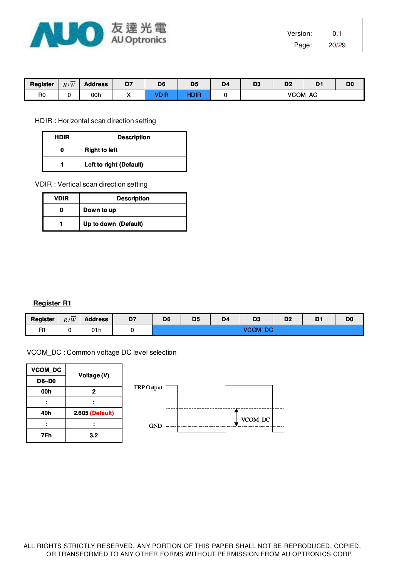

| Register       | $\overline{\phantom{a}}$<br>R/W | <b>Address</b> | D7<br>- - | D <sub>6</sub> | D <sub>5</sub> | D <sub>4</sub> | D <sub>3</sub>    | D <sub>2</sub><br>-- | D.<br>՝ | D <sub>0</sub> |
|----------------|---------------------------------|----------------|-----------|----------------|----------------|----------------|-------------------|----------------------|---------|----------------|
| R <sub>0</sub> |                                 | 00h            | . .       | חוח            | <b>ID IR</b>   |                | <b>VCOM</b><br>AC |                      |         |                |

HDIR : Horizontal scan direction setting

| HDIR | <b>Description</b>      |  |  |  |  |
|------|-------------------------|--|--|--|--|
|      | <b>Right to left</b>    |  |  |  |  |
|      | Left to right (Default) |  |  |  |  |

VDIR : Vertical scan direction setting

| <b>VDIR</b> | <b>Description</b>   |  |  |  |  |
|-------------|----------------------|--|--|--|--|
|             | Down to up           |  |  |  |  |
|             | Up to down (Default) |  |  |  |  |

#### **Register R1**

| <b>Register</b> | R/W | <b>Address</b> | D7 | D <sub>6</sub>                | D <sub>5</sub><br>__ | D <sub>4</sub><br>- - | D <sub>3</sub> | D <sub>2</sub> | -<br>י<br>- - | D <sub>0</sub> |
|-----------------|-----|----------------|----|-------------------------------|----------------------|-----------------------|----------------|----------------|---------------|----------------|
| D.<br>n I       |     | 01 h           |    | $\sim$<br>∪∪™<br>υv<br>$\sim$ |                      |                       |                |                |               |                |

VCOM\_DC : Common voltage DC level selection

| VCOM_DC | Voltage (V)     |
|---------|-----------------|
| D6~D0   |                 |
| 00h     | 2               |
|         |                 |
| 40h     | 2.605 (Default) |
|         |                 |
| 7Fh     | 3.2             |

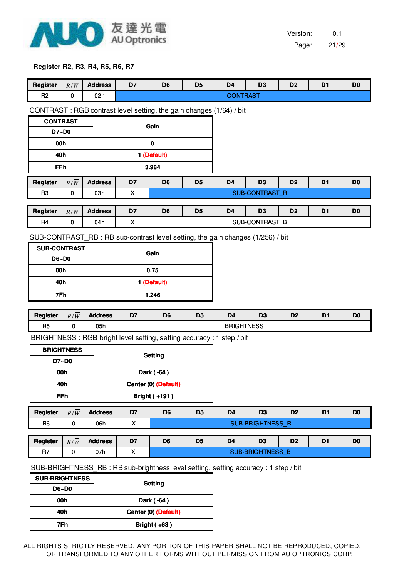

#### **Register R2, R3, R4, R5, R6, R7**

| Register            | $R/\overline{W}$                                                                 | <b>Address</b> | D7                                     | D <sub>6</sub>                                                                  | D <sub>5</sub> | D <sub>4</sub>    | D <sub>3</sub>          | D <sub>2</sub> | D <sub>1</sub> | D <sub>0</sub> |
|---------------------|----------------------------------------------------------------------------------|----------------|----------------------------------------|---------------------------------------------------------------------------------|----------------|-------------------|-------------------------|----------------|----------------|----------------|
| R <sub>2</sub>      | $\pmb{0}$                                                                        | 02h            |                                        |                                                                                 |                | <b>CONTRAST</b>   |                         |                |                |                |
|                     |                                                                                  |                |                                        |                                                                                 |                |                   |                         |                |                |                |
|                     |                                                                                  |                |                                        | CONTRAST: RGB contrast level setting, the gain changes (1/64) / bit             |                |                   |                         |                |                |                |
| <b>CONTRAST</b>     |                                                                                  |                |                                        | Gain                                                                            |                |                   |                         |                |                |                |
| D7~D0               |                                                                                  |                |                                        |                                                                                 |                |                   |                         |                |                |                |
| 00h                 |                                                                                  |                |                                        | 0                                                                               |                |                   |                         |                |                |                |
| 40h                 |                                                                                  |                |                                        | 1 (Default)                                                                     |                |                   |                         |                |                |                |
| <b>FFh</b>          |                                                                                  |                |                                        | 3.984                                                                           |                |                   |                         |                |                |                |
| <b>Register</b>     | R/W                                                                              | <b>Address</b> | D7                                     | D <sub>6</sub>                                                                  | D <sub>5</sub> | D <sub>4</sub>    | D <sub>3</sub>          | D <sub>2</sub> | D <sub>1</sub> | D <sub>0</sub> |
| R <sub>3</sub>      | $\pmb{0}$                                                                        | 03h            | X                                      |                                                                                 |                |                   | SUB-CONTRAST_R          |                |                |                |
|                     |                                                                                  |                |                                        |                                                                                 |                |                   |                         |                |                |                |
| Register            | $R/\overline{W}$                                                                 | <b>Address</b> | D7                                     | D <sub>6</sub>                                                                  | D <sub>5</sub> | D <sub>4</sub>    | D <sub>3</sub>          | D <sub>2</sub> | D <sub>1</sub> | D <sub>0</sub> |
| R <sub>4</sub>      | 0                                                                                | 04h            | X                                      |                                                                                 |                |                   | SUB-CONTRAST_B          |                |                |                |
|                     |                                                                                  |                |                                        | SUB-CONTRAST_RB : RB sub-contrast level setting, the gain changes (1/256) / bit |                |                   |                         |                |                |                |
| <b>SUB-CONTRAST</b> |                                                                                  |                |                                        | Gain                                                                            |                |                   |                         |                |                |                |
|                     | <b>D6~D0</b>                                                                     |                |                                        |                                                                                 |                |                   |                         |                |                |                |
| 00h                 |                                                                                  |                |                                        | 0.75                                                                            |                |                   |                         |                |                |                |
| 40h                 |                                                                                  |                |                                        | 1 (Default)                                                                     |                |                   |                         |                |                |                |
| 7Fh                 |                                                                                  |                |                                        | 1.246                                                                           |                |                   |                         |                |                |                |
|                     |                                                                                  |                |                                        |                                                                                 |                |                   |                         |                |                |                |
| <b>Register</b>     | $R/\overline{W}$                                                                 | <b>Address</b> | D7                                     | D <sub>6</sub>                                                                  | D <sub>5</sub> | D <sub>4</sub>    | D <sub>3</sub>          | D <sub>2</sub> | D <sub>1</sub> | D <sub>0</sub> |
| R <sub>5</sub>      | $\pmb{0}$                                                                        | 05h            |                                        |                                                                                 |                | <b>BRIGHTNESS</b> |                         |                |                |                |
|                     |                                                                                  |                |                                        | BRIGHTNESS: RGB bright level setting, setting accuracy: 1 step / bit            |                |                   |                         |                |                |                |
|                     | <b>BRIGHTNESS</b>                                                                |                |                                        | <b>Setting</b>                                                                  |                |                   |                         |                |                |                |
|                     | D7~D0                                                                            |                |                                        |                                                                                 |                |                   |                         |                |                |                |
|                     | 00h                                                                              |                |                                        | Dark (-64)                                                                      |                |                   |                         |                |                |                |
|                     | 40h                                                                              |                |                                        | Center (0) (Default)                                                            |                |                   |                         |                |                |                |
|                     | <b>FFh</b>                                                                       |                | <b>Bright (+191)</b>                   |                                                                                 |                |                   |                         |                |                |                |
| <b>Register</b>     | R/W                                                                              | <b>Address</b> | D7<br>D <sub>6</sub><br>D <sub>5</sub> |                                                                                 |                | D <sub>4</sub>    | D <sub>3</sub>          | D <sub>2</sub> | D <sub>1</sub> | D <sub>0</sub> |
| R <sub>6</sub>      | $\pmb{0}$                                                                        | 06h            | X                                      |                                                                                 |                |                   | <b>SUB-BRIGHTNESS R</b> |                |                |                |
|                     |                                                                                  |                |                                        |                                                                                 |                |                   |                         |                |                |                |
| Register            | $R/\overline{W}$                                                                 | <b>Address</b> | D7                                     | D <sub>6</sub>                                                                  | D <sub>5</sub> | D <sub>4</sub>    | D <sub>3</sub>          | D <sub>2</sub> | D <sub>1</sub> | D <sub>0</sub> |
| R7                  | $\pmb{0}$                                                                        | 07h            | X                                      |                                                                                 |                |                   | SUB-BRIGHTNESS_B        |                |                |                |
|                     | SUB-BRIGHTNESS_RB: RB sub-brightness level setting, setting accuracy: 1 step/bit |                |                                        |                                                                                 |                |                   |                         |                |                |                |

**D6~D0 40h Center (0) (Default) 7Fh Bright ( +63 ) 00h Dark ( -64 ) Setting SUB-BRIGHTNESS**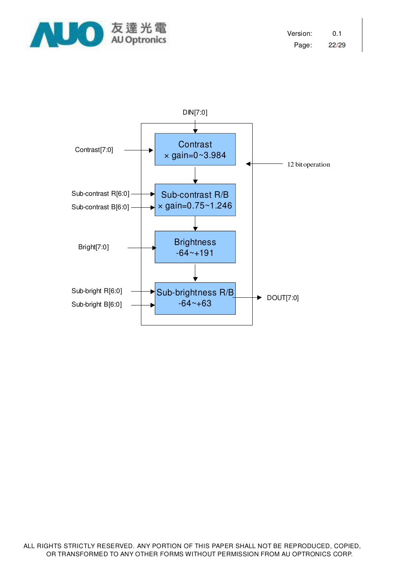

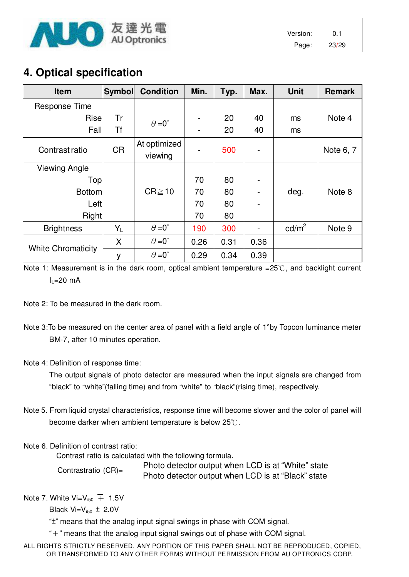

# **4. Optical specification**

| <b>Item</b>               | Symbol    | <b>Condition</b>     | Min. | Typ. | Max. | <b>Unit</b>       | <b>Remark</b> |
|---------------------------|-----------|----------------------|------|------|------|-------------------|---------------|
| Response Time             |           |                      |      |      |      |                   |               |
| Risel                     | Tr        | $\theta = 0^{\circ}$ |      | 20   | 40   | ms                | Note 4        |
| Fall                      | <b>Tf</b> |                      |      | 20   | 40   | ms                |               |
| Contrast ratio            | <b>CR</b> | At optimized         |      | 500  |      |                   | Note 6, 7     |
|                           |           | viewing              |      |      |      |                   |               |
| <b>Viewing Angle</b>      |           |                      |      |      |      |                   |               |
| Topl                      |           |                      | 70   | 80   |      |                   |               |
| <b>Bottom</b>             |           | $CR \ge 10$          | 70   | 80   |      | deg.              | Note 8        |
| Left                      |           |                      | 70   | 80   |      |                   |               |
| Right                     |           |                      | 70   | 80   |      |                   |               |
| <b>Brightness</b>         | $Y_L$     | $\theta = 0^{\circ}$ | 190  | 300  |      | cd/m <sup>2</sup> | Note 9        |
|                           | X         | $\theta = 0^{\circ}$ | 0.26 | 0.31 | 0.36 |                   |               |
| <b>White Chromaticity</b> | у         | $\theta = 0^{\circ}$ | 0.29 | 0.34 | 0.39 |                   |               |

Note 1: Measurement is in the dark room, optical ambient temperature = $25^{\circ}$ C, and backlight current  $I_1$ =20 mA

Note 2: To be measured in the dark room.

Note 3:To be measured on the center area of panel with a field angle of 1°by Topcon luminance meter BM-7, after 10 minutes operation.

#### Note 4: Definition of response time:

The output signals of photo detector are measured when the input signals are changed from "black" to "white"(falling time) and from "white" to "black"(rising time), respectively.

Note 5. From liquid crystal characteristics, response time will become slower and the color of panel will become darker when ambient temperature is below 25℃.

#### Note 6. Definition of contrast ratio:

Contrast ratio is calculated with the following formula.

Photo detector output when LCD is at "White" state Photo detector output when LCD is at "Black" state Contrastratio (CR)=

Note 7. White  $Vi=V_{150} \pm 1.5V$ 

Black  $Vi=V_{150} \pm 2.0V$ 

"±" means that the analog input signal swings in phase with COM signal.

 $\overline{+}$ " means that the analog input signal swings out of phase with COM signal.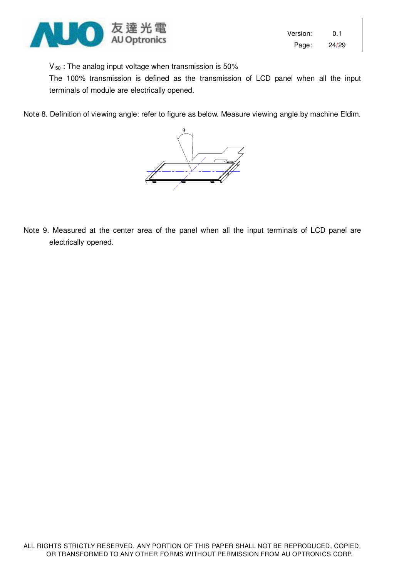

 $V_{i50}$  : The analog input voltage when transmission is 50%

The 100% transmission is defined as the transmission of LCD panel when all the input terminals of module are electrically opened.

Note 8. Definition of viewing angle: refer to figure as below. Measure viewing angle by machine Eldim.



Note 9. Measured at the center area of the panel when all the input terminals of LCD panel are electrically opened.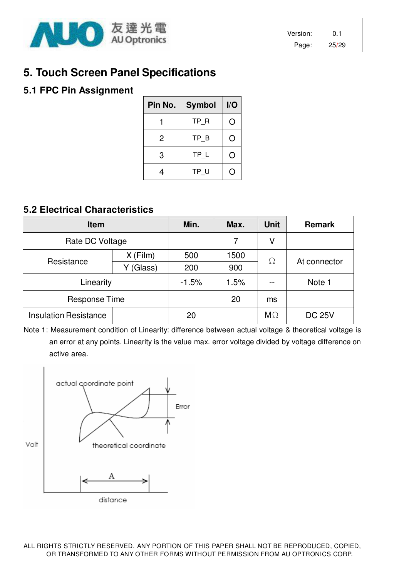

# **5. Touch Screen Panel Specifications**

### **5.1 FPC Pin Assignment**

| Pin No. | <b>Symbol</b> | I/O        |
|---------|---------------|------------|
|         | TP R          | $\bigcirc$ |
| 2       | TP B          | ( )        |
| 3       | TP L          | O          |
|         | TP U          |            |

### **5.2 Electrical Characteristics**

| <b>Item</b>                  |            | Min.    | Max. | <b>Unit</b> | <b>Remark</b> |
|------------------------------|------------|---------|------|-------------|---------------|
| Rate DC Voltage              |            |         | 7    | ٧           |               |
| Resistance                   | $X$ (Film) | 500     | 500  | $\Omega$    | At connector  |
|                              | (Glass)    | 200     | 900  |             |               |
| Linearity                    |            | $-1.5%$ | 1.5% |             | Note 1        |
| <b>Response Time</b>         |            |         | 20   | ms          |               |
| <b>Insulation Resistance</b> |            | 20      |      | $M\Omega$   | <b>DC 25V</b> |

Note 1: Measurement condition of Linearity: difference between actual voltage & theoretical voltage is an error at any points. Linearity is the value max. error voltage divided by voltage difference on active area.

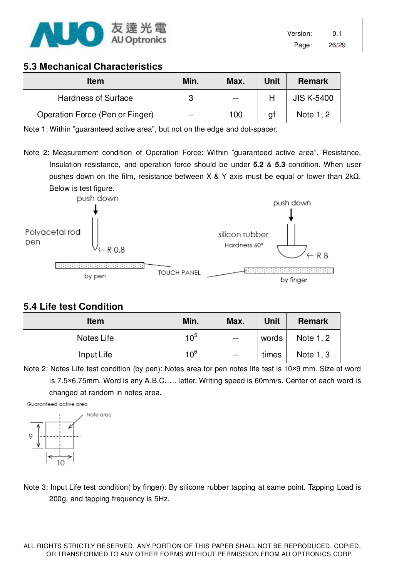

### **5.3 Mechanical Characteristics**

| <b>Item</b>                     | Min.  | Max.  | <b>Unit</b> | <b>Remark</b>     |
|---------------------------------|-------|-------|-------------|-------------------|
| <b>Hardness of Surface</b>      |       | $- -$ |             | <b>JIS K-5400</b> |
| Operation Force (Pen or Finger) | $- -$ | 100   | g1          | Note 1, 2         |

Note 1: Within "guaranteed active area", but not on the edge and dot-spacer.

Note 2: Measurement condition of Operation Force: Within "guaranteed active area". Resistance, Insulation resistance, and operation force should be under **5.2** & **5.3** condition. When user pushes down on the film, resistance between X & Y axis must be equal or lower than 2kΩ. Below is test figure.



### **5.4 Life test Condition**

| <b>Item</b> | Min.            | Max.          | Unit  | <b>Remark</b> |
|-------------|-----------------|---------------|-------|---------------|
| Notes Life  | 10 <sup>5</sup> | $- -$         | words | Note 1, 2     |
| Input Life  | 10 <sup>6</sup> | $\sim$ $\sim$ | times | Note 1, 3     |

Note 2: Notes Life test condition (by pen): Notes area for pen notes life test is 10×9 mm. Size of word is 7.5×6.75mm. Word is any A.B.C….. letter. Writing speed is 60mm/s. Center of each word is changed at random in notes area.



Note 3: Input Life test condition( by finger): By silicone rubber tapping at same point. Tapping Load is 200g, and tapping frequency is 5Hz.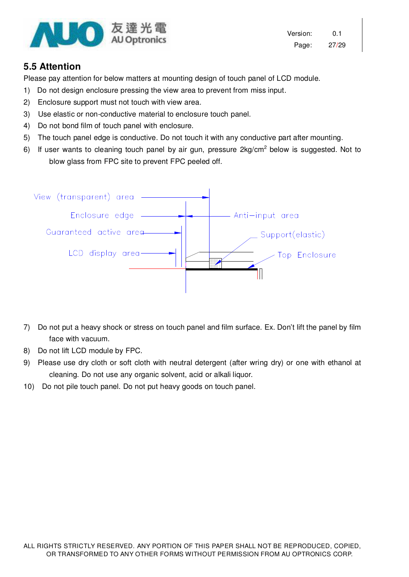

Version: 0.1 Page: 27/29

### **5.5 Attention**

Please pay attention for below matters at mounting design of touch panel of LCD module.

- 1) Do not design enclosure pressing the view area to prevent from miss input.
- 2) Enclosure support must not touch with view area.
- 3) Use elastic or non-conductive material to enclosure touch panel.
- 4) Do not bond film of touch panel with enclosure.
- 5) The touch panel edge is conductive. Do not touch it with any conductive part after mounting.
- 6) If user wants to cleaning touch panel by air gun, pressure  $2\text{kg/cm}^2$  below is suggested. Not to blow glass from FPC site to prevent FPC peeled off.



- 7) Do not put a heavy shock or stress on touch panel and film surface. Ex. Don't lift the panel by film face with vacuum.
- 8) Do not lift LCD module by FPC.
- 9) Please use dry cloth or soft cloth with neutral detergent (after wring dry) or one with ethanol at cleaning. Do not use any organic solvent, acid or alkali liquor.
- 10) Do not pile touch panel. Do not put heavy goods on touch panel.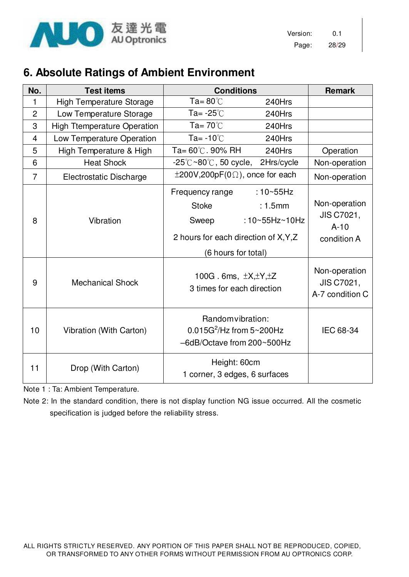

Version: 0.1 Page: 28/29

# **6. Absolute Ratings of Ambient Environment**

| No.            | <b>Test items</b>                    | <b>Conditions</b>                                                                                                                                                          |                                           | <b>Remark</b>                                                                                          |
|----------------|--------------------------------------|----------------------------------------------------------------------------------------------------------------------------------------------------------------------------|-------------------------------------------|--------------------------------------------------------------------------------------------------------|
| 1              | <b>High Temperature Storage</b>      | Ta= $80^{\circ}$ C                                                                                                                                                         | 240Hrs                                    |                                                                                                        |
| $\overline{2}$ | Low Temperature Storage              | Ta= -25℃                                                                                                                                                                   | 240Hrs                                    |                                                                                                        |
| 3              | <b>High Ttemperature Operation</b>   | Ta= $70^{\circ}$ C                                                                                                                                                         | 240Hrs                                    |                                                                                                        |
| $\overline{4}$ | Low Temperature Operation            | Ta= $-10^{\circ}$ C                                                                                                                                                        | 240Hrs                                    |                                                                                                        |
| 5              | High Temperature & High              | Ta= $60^{\circ}$ C. 90% RH                                                                                                                                                 | 240Hrs                                    | Operation                                                                                              |
| 6              | <b>Heat Shock</b>                    | $-25^{\circ}$ C $\sim$ 80 $^{\circ}$ C, 50 cycle, 2Hrs/cycle                                                                                                               |                                           | Non-operation                                                                                          |
| $\overline{7}$ | <b>Electrostatic Discharge</b>       | $\pm 200V, 200pF(0\Omega)$ , once for each                                                                                                                                 |                                           | Non-operation                                                                                          |
| 8<br>9         | Vibration<br><b>Mechanical Shock</b> | Frequency range<br><b>Stoke</b><br>Sweep<br>2 hours for each direction of X, Y, Z<br>(6 hours for total)<br>100G. 6ms, $\pm X, \pm Y, \pm Z$<br>3 times for each direction | $:10 - 55$ Hz<br>: 1.5mm<br>:10~55Hz~10Hz | Non-operation<br>JIS C7021,<br>$A-10$<br>condition A<br>Non-operation<br>JIS C7021,<br>A-7 condition C |
| 10             | Vibration (With Carton)              | Random vibration:<br>$0.015G^2$ /Hz from $5 \sim 200Hz$<br>-6dB/Octave from 200~500Hz                                                                                      |                                           | IEC 68-34                                                                                              |
| 11             | Drop (With Carton)                   | Height: 60cm<br>1 corner, 3 edges, 6 surfaces                                                                                                                              |                                           |                                                                                                        |

Note 1 : Ta: Ambient Temperature.

Note 2: In the standard condition, there is not display function NG issue occurred. All the cosmetic specification is judged before the reliability stress.